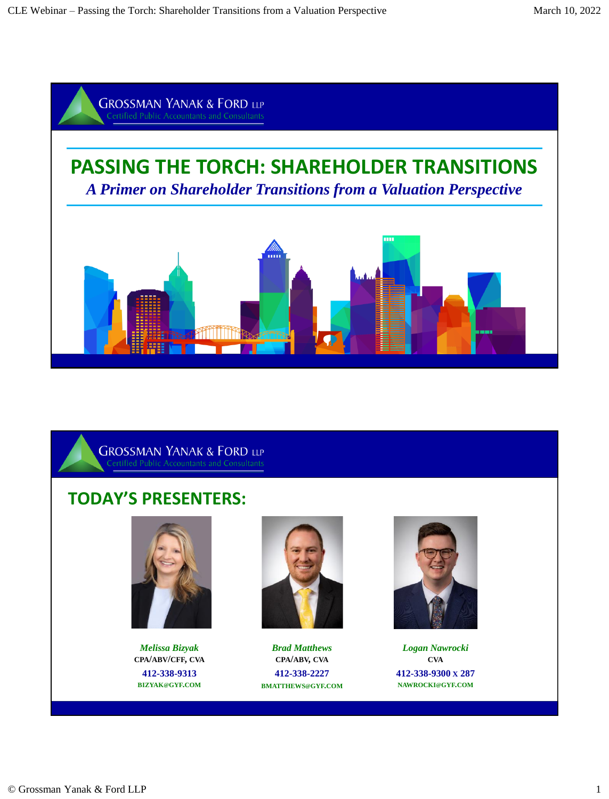



# **TODAY'S PRESENTERS:**



*Melissa Bizyak*  **CPA/ABV/CFF, CVA 412-338-9313 [BIZYAK](mailto:bizyak@gyf.com)@GYF.COM**



*Brad Matthews*  **CPA/ABV, CVA 412-338-2227 [BMATTHEWS](mailto:bmatthews@gyf.com)@GYF.COM**



*Logan Nawrocki* **CVA 412-338-9300 X 287 N[AWROCKI](mailto:nawrocki@gyf.com)@GYF.COM**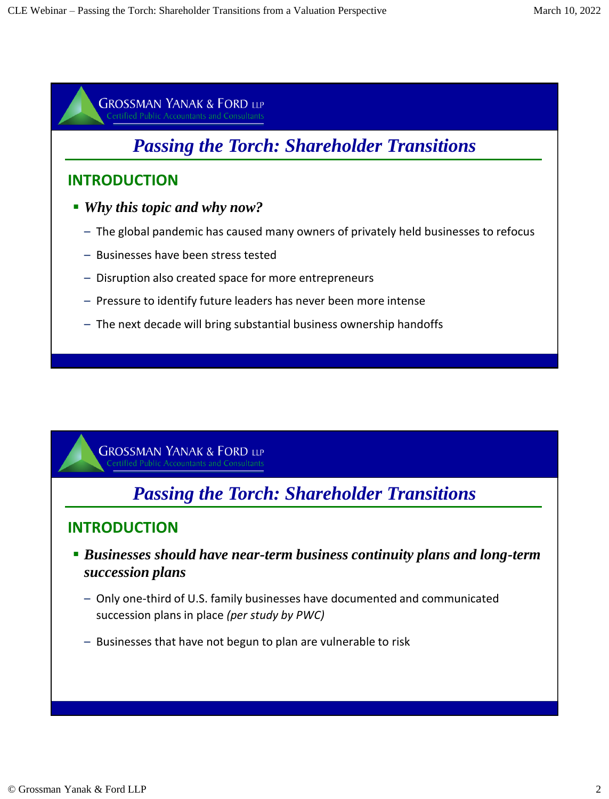# *Passing the Torch: Shareholder Transitions*

### **INTRODUCTION**

- *Why this topic and why now?*
	- The global pandemic has caused many owners of privately held businesses to refocus
	- Businesses have been stress tested
	- Disruption also created space for more entrepreneurs
	- Pressure to identify future leaders has never been more intense
	- The next decade will bring substantial business ownership handoffs

**GROSSMAN YANAK & FORD LLP** 

# *Passing the Torch: Shareholder Transitions*

- *Businesses should have near-term business continuity plans and long-term succession plans* 
	- Only one-third of U.S. family businesses have documented and communicated succession plans in place *(per study by PWC)*
	- Businesses that have not begun to plan are vulnerable to risk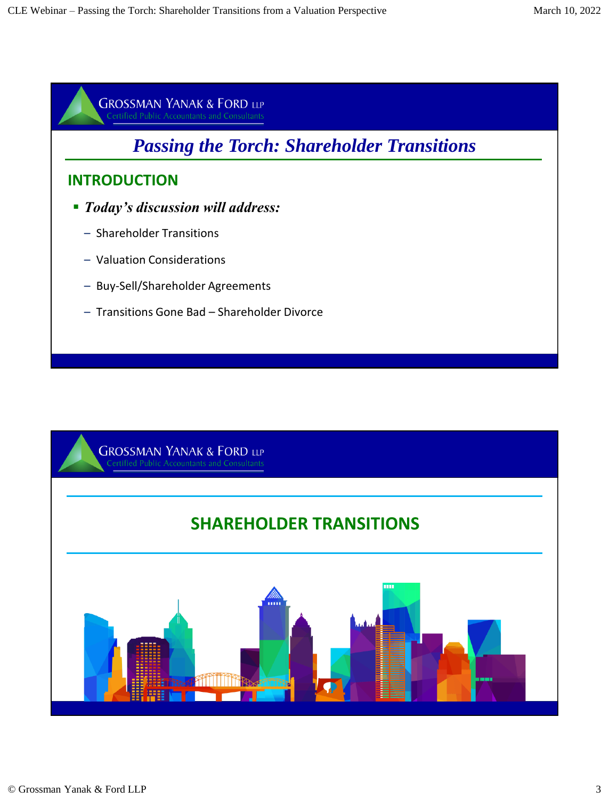

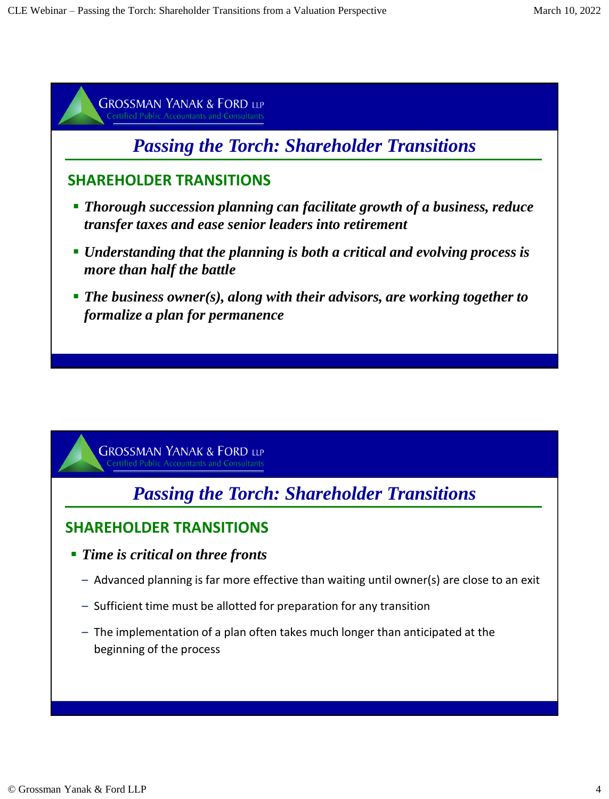

# *Passing the Torch: Shareholder Transitions*

- *Time is critical on three fronts* 
	- Advanced planning is far more effective than waiting until owner(s) are close to an exit
	- Sufficient time must be allotted for preparation for any transition
	- The implementation of a plan often takes much longer than anticipated at the beginning of the process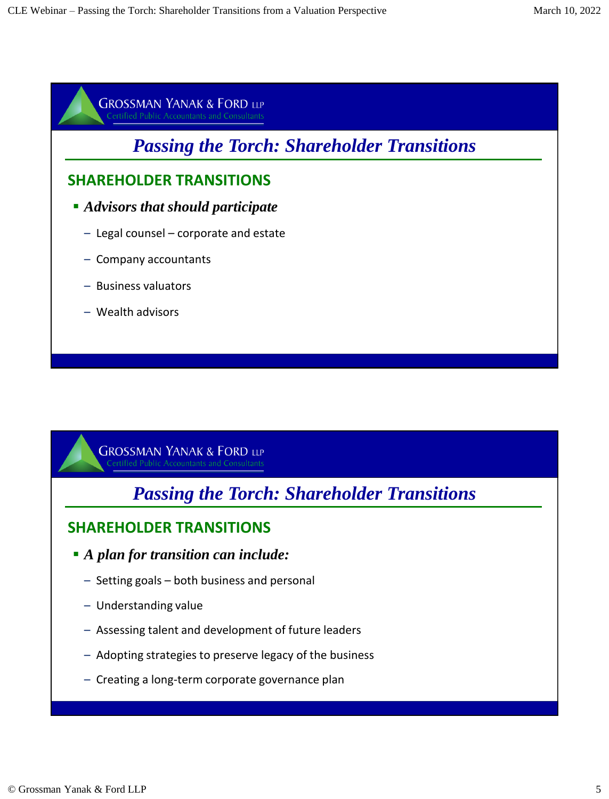# *Passing the Torch: Shareholder Transitions*

### **SHAREHOLDER TRANSITIONS**

- *Advisors that should participate* 
	- Legal counsel corporate and estate
	- Company accountants
	- Business valuators
	- Wealth advisors

**GROSSMAN YANAK & FORD LLP** fied Public Accountants and Consultants

*Passing the Torch: Shareholder Transitions*

- *A plan for transition can include:* 
	- Setting goals both business and personal
	- Understanding value
	- Assessing talent and development of future leaders
	- Adopting strategies to preserve legacy of the business
	- Creating a long-term corporate governance plan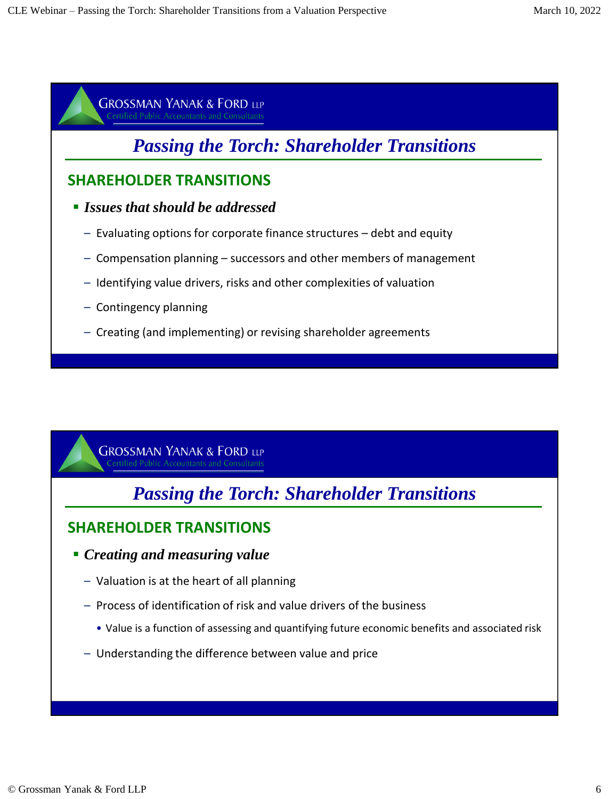# *Passing the Torch: Shareholder Transitions*

### **SHAREHOLDER TRANSITIONS**

- *Issues that should be addressed* 
	- Evaluating options for corporate finance structures debt and equity
	- Compensation planning successors and other members of management
	- Identifying value drivers, risks and other complexities of valuation
	- Contingency planning
	- Creating (and implementing) or revising shareholder agreements

**GROSSMAN YANAK & FORD LLP** fied Public Accountants and Consultants

# *Passing the Torch: Shareholder Transitions*

- *Creating and measuring value* 
	- Valuation is at the heart of all planning
	- Process of identification of risk and value drivers of the business
		- Value is a function of assessing and quantifying future economic benefits and associated risk
	- Understanding the difference between value and price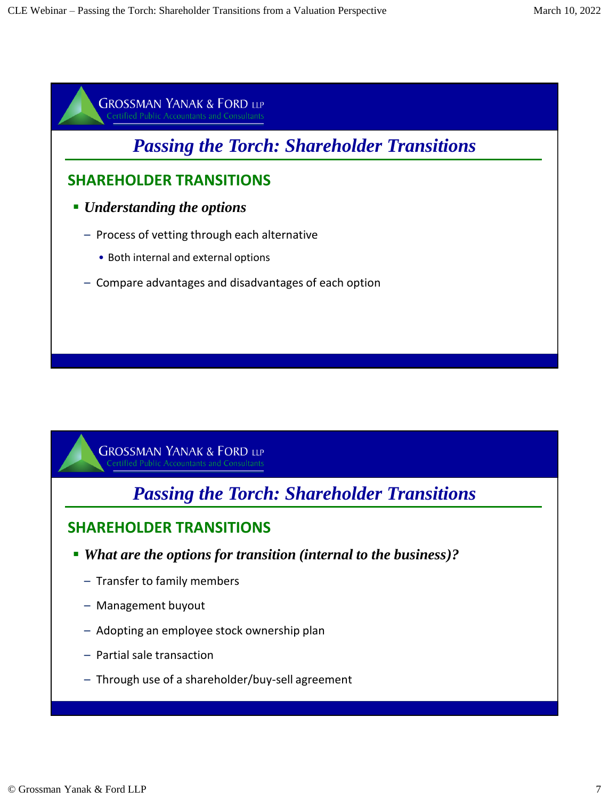# *Passing the Torch: Shareholder Transitions*

### **SHAREHOLDER TRANSITIONS**

- *Understanding the options* 
	- Process of vetting through each alternative
		- Both internal and external options
	- Compare advantages and disadvantages of each option

**GROSSMAN YANAK & FORD LLP** ified Public Accountants and Consultants

*Passing the Torch: Shareholder Transitions*

- *What are the options for transition (internal to the business)?* 
	- Transfer to family members
	- Management buyout
	- Adopting an employee stock ownership plan
	- Partial sale transaction
	- Through use of a shareholder/buy-sell agreement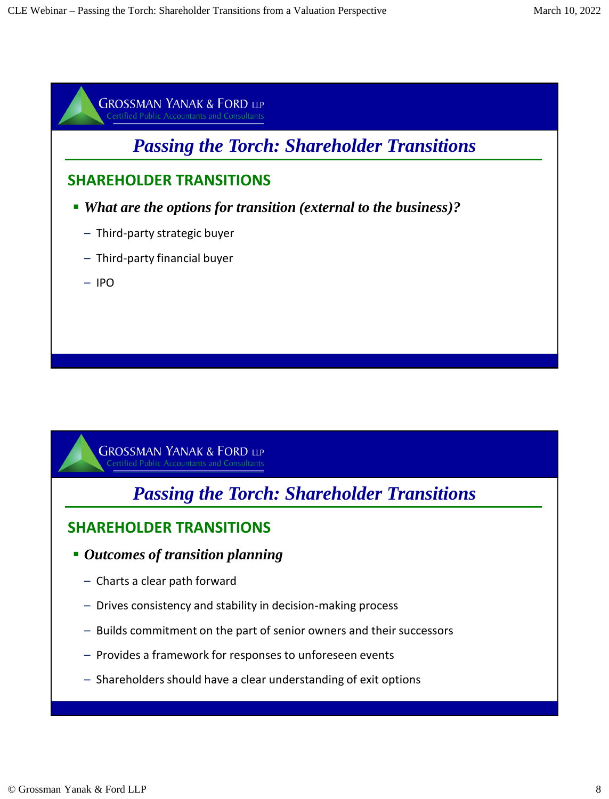

*Passing the Torch: Shareholder Transitions*

- *Outcomes of transition planning* 
	- Charts a clear path forward
	- Drives consistency and stability in decision-making process
	- Builds commitment on the part of senior owners and their successors
	- Provides a framework for responses to unforeseen events
	- Shareholders should have a clear understanding of exit options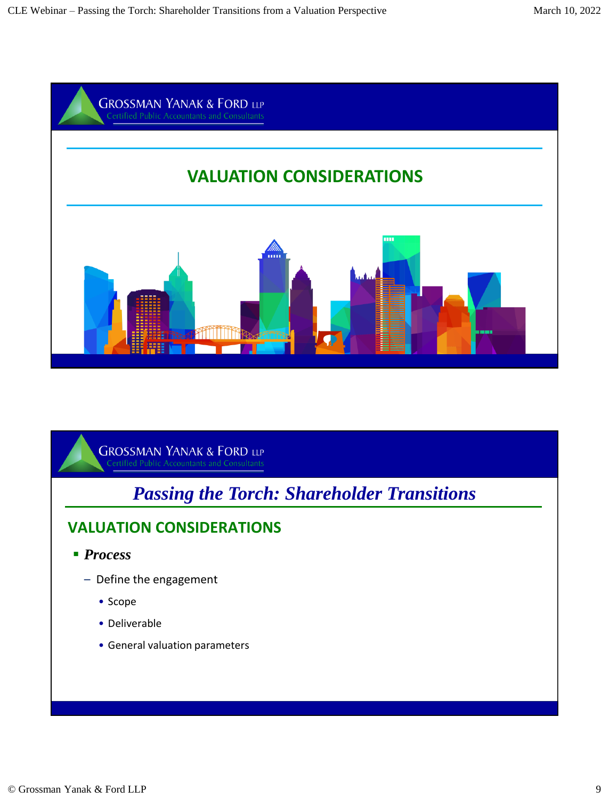

# *Passing the Torch: Shareholder Transitions*

- *Process*
	- Define the engagement
		- Scope
		- Deliverable
		- General valuation parameters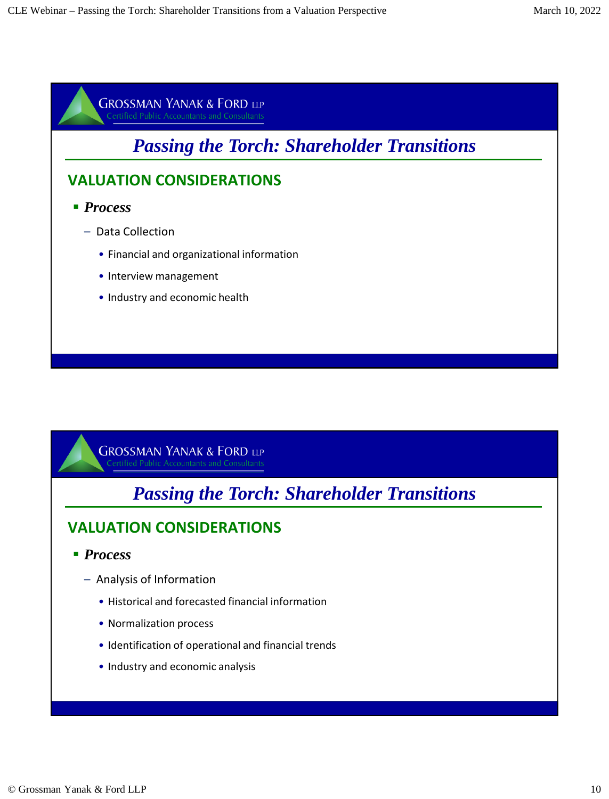

*Passing the Torch: Shareholder Transitions*

- *Process*
	- Analysis of Information
		- Historical and forecasted financial information
		- Normalization process
		- Identification of operational and financial trends
		- Industry and economic analysis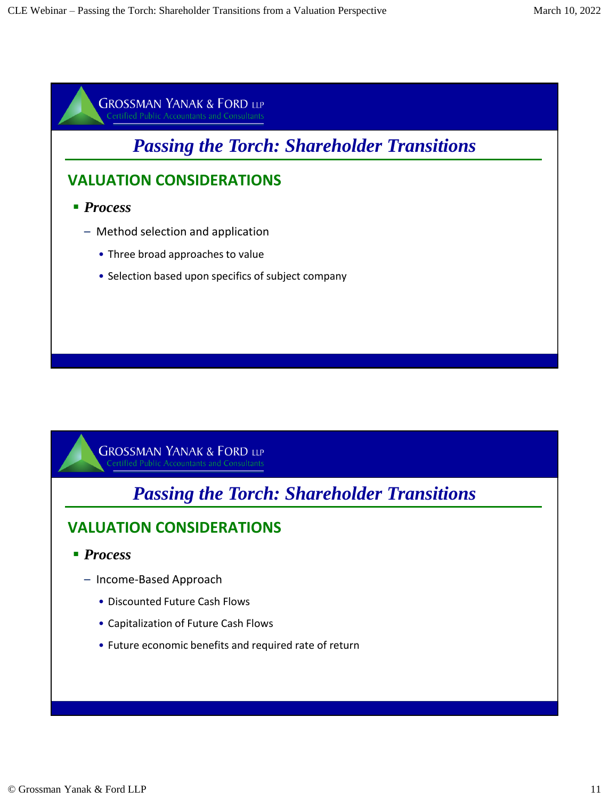

# *Passing the Torch: Shareholder Transitions*

- *Process*
	- Income-Based Approach
		- Discounted Future Cash Flows
		- Capitalization of Future Cash Flows
		- Future economic benefits and required rate of return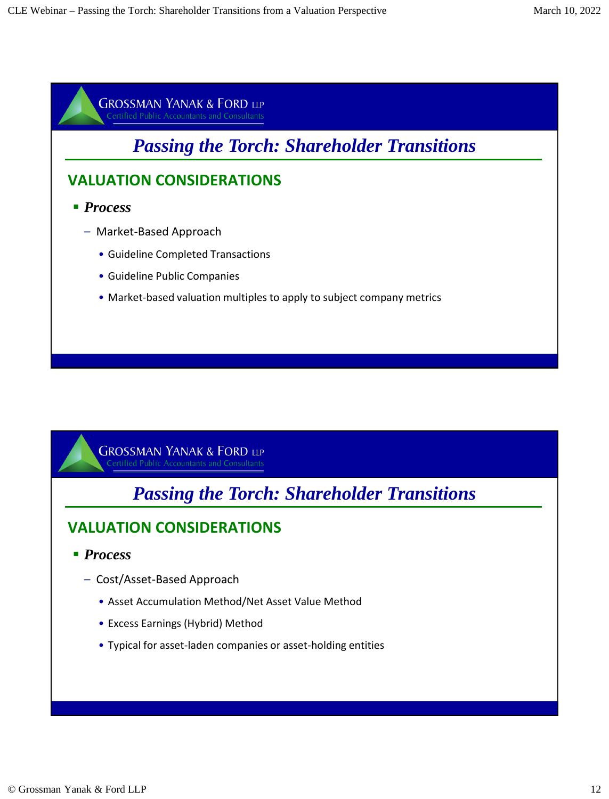

*Passing the Torch: Shareholder Transitions*

- *Process*
	- Cost/Asset-Based Approach
		- Asset Accumulation Method/Net Asset Value Method
		- Excess Earnings (Hybrid) Method
		- Typical for asset-laden companies or asset-holding entities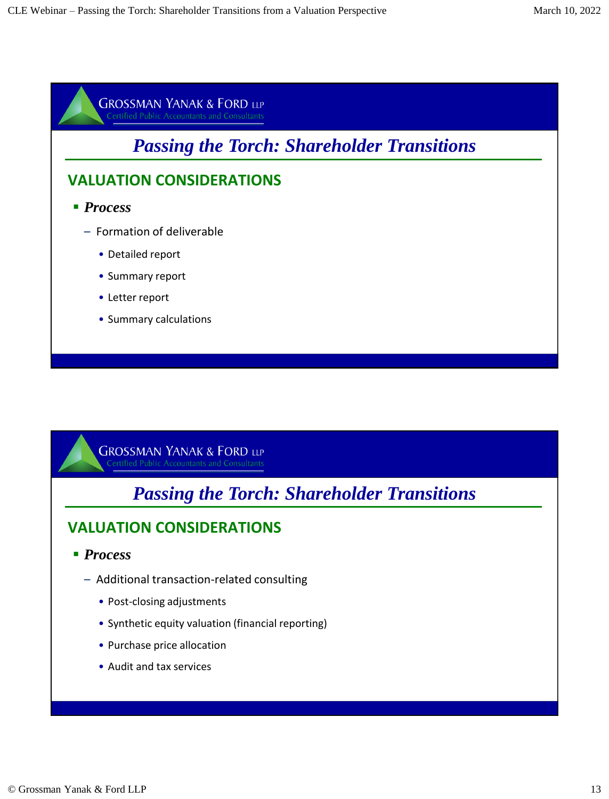

# *Passing the Torch: Shareholder Transitions*

- *Process*
	- Additional transaction-related consulting
		- Post-closing adjustments
		- Synthetic equity valuation (financial reporting)
		- Purchase price allocation
		- Audit and tax services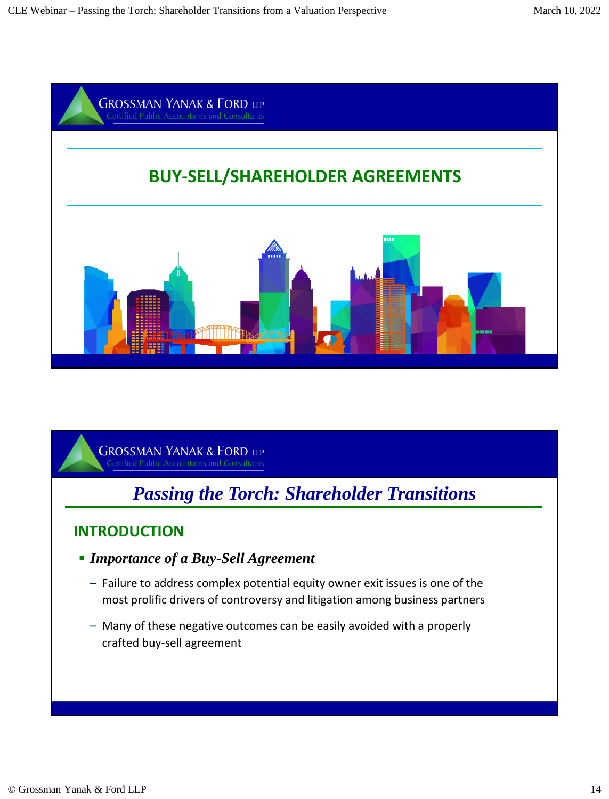

# *Passing the Torch: Shareholder Transitions*

- *Importance of a Buy-Sell Agreement*
	- Failure to address complex potential equity owner exit issues is one of the most prolific drivers of controversy and litigation among business partners
	- Many of these negative outcomes can be easily avoided with a properly crafted buy-sell agreement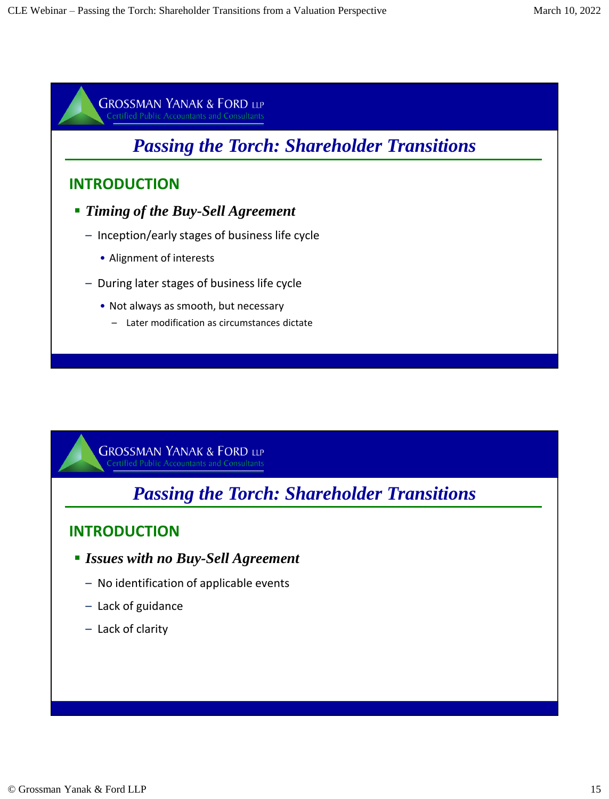

# *Passing the Torch: Shareholder Transitions*

- *Issues with no Buy-Sell Agreement*
	- No identification of applicable events
	- Lack of guidance
	- Lack of clarity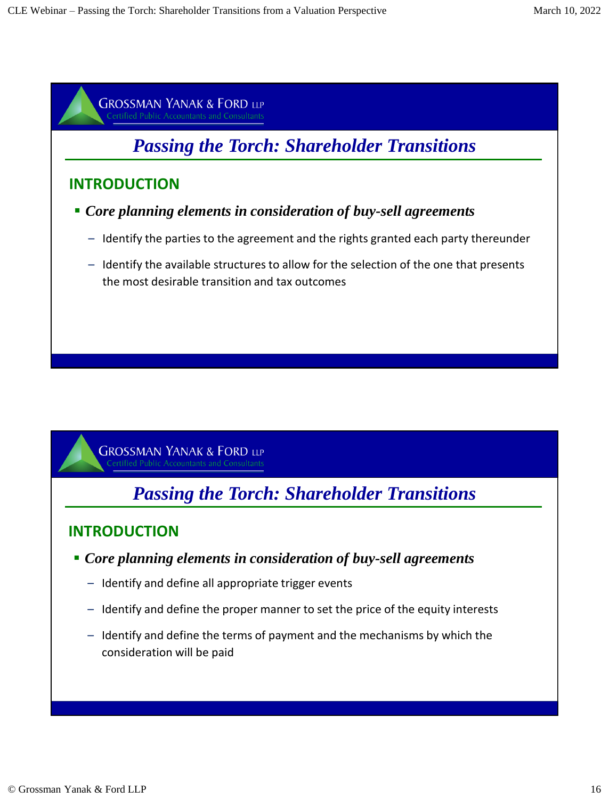



# *Passing the Torch: Shareholder Transitions*

- *Core planning elements in consideration of buy-sell agreements*
	- Identify and define all appropriate trigger events
	- Identify and define the proper manner to set the price of the equity interests
	- Identify and define the terms of payment and the mechanisms by which the consideration will be paid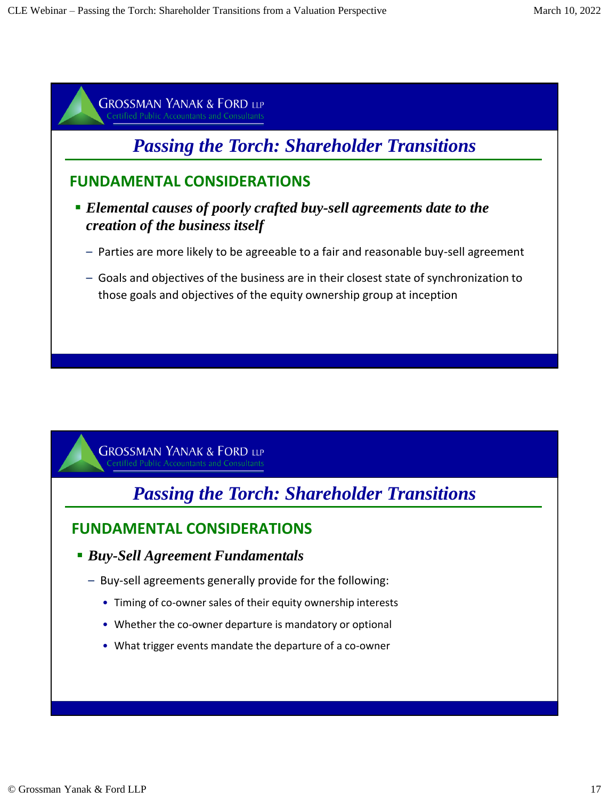

# *Passing the Torch: Shareholder Transitions*

## **FUNDAMENTAL CONSIDERATIONS**

- *Buy-Sell Agreement Fundamentals*
	- Buy-sell agreements generally provide for the following:
		- Timing of co-owner sales of their equity ownership interests
		- Whether the co-owner departure is mandatory or optional
		- What trigger events mandate the departure of a co-owner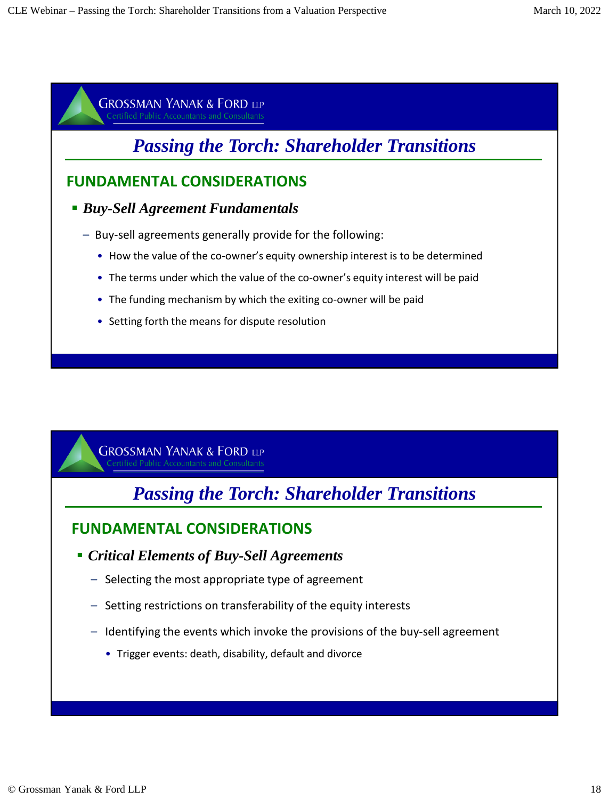# *Passing the Torch: Shareholder Transitions*

### **FUNDAMENTAL CONSIDERATIONS**

#### *Buy-Sell Agreement Fundamentals*

- Buy-sell agreements generally provide for the following:
	- How the value of the co-owner's equity ownership interest is to be determined
	- The terms under which the value of the co-owner's equity interest will be paid
	- The funding mechanism by which the exiting co-owner will be paid
	- Setting forth the means for dispute resolution

**GROSSMAN YANAK & FORD LLP** fied Public Accountants and Consultants

# *Passing the Torch: Shareholder Transitions*

### **FUNDAMENTAL CONSIDERATIONS**

- *Critical Elements of Buy-Sell Agreements*
	- Selecting the most appropriate type of agreement
	- Setting restrictions on transferability of the equity interests
	- Identifying the events which invoke the provisions of the buy-sell agreement
		- Trigger events: death, disability, default and divorce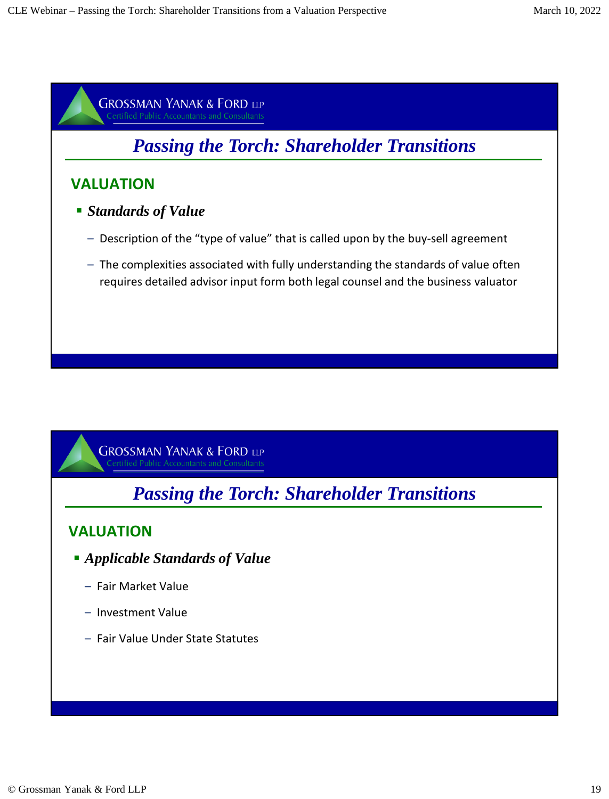

*Passing the Torch: Shareholder Transitions*

### **VALUATION**

- *Applicable Standards of Value*
	- Fair Market Value
	- Investment Value
	- Fair Value Under State Statutes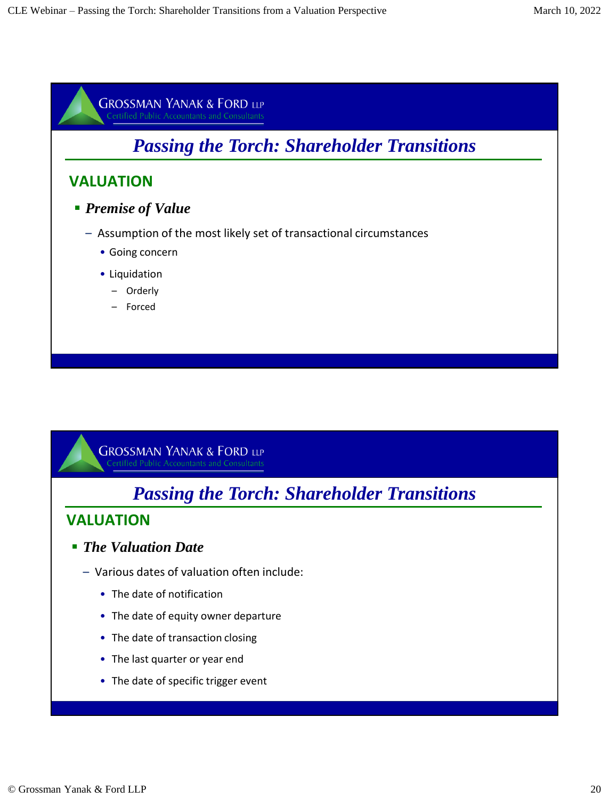

# *Passing the Torch: Shareholder Transitions*

#### **VALUATION**

#### *The Valuation Date*

- Various dates of valuation often include:
	- The date of notification
	- The date of equity owner departure
	- The date of transaction closing
	- The last quarter or year end
	- The date of specific trigger event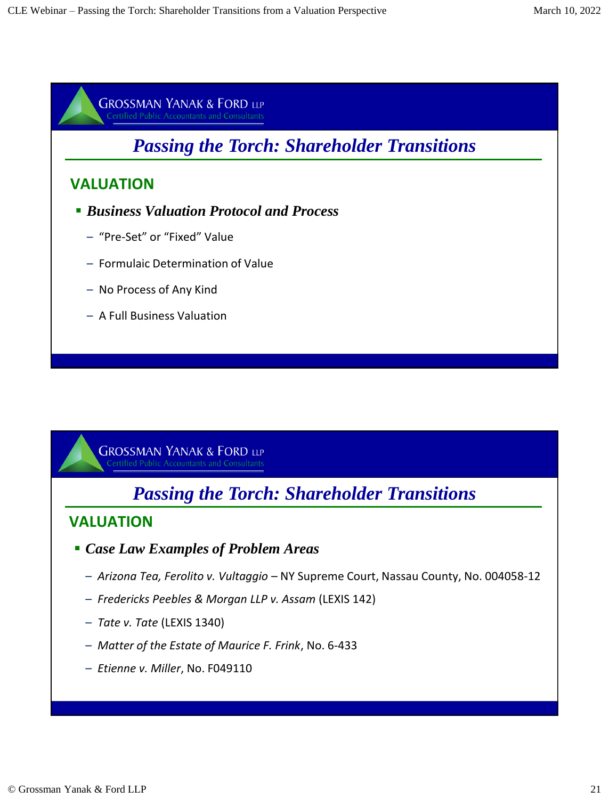

# *Passing the Torch: Shareholder Transitions*

### **VALUATION**

- *Case Law Examples of Problem Areas* 
	- *Arizona Tea, Ferolito v. Vultaggio*  NY Supreme Court, Nassau County, No. 004058-12
	- *Fredericks Peebles & Morgan LLP v. Assam* (LEXIS 142)
	- *Tate v. Tate* (LEXIS 1340)
	- *Matter of the Estate of Maurice F. Frink*, No. 6-433
	- *Etienne v. Miller*, No. F049110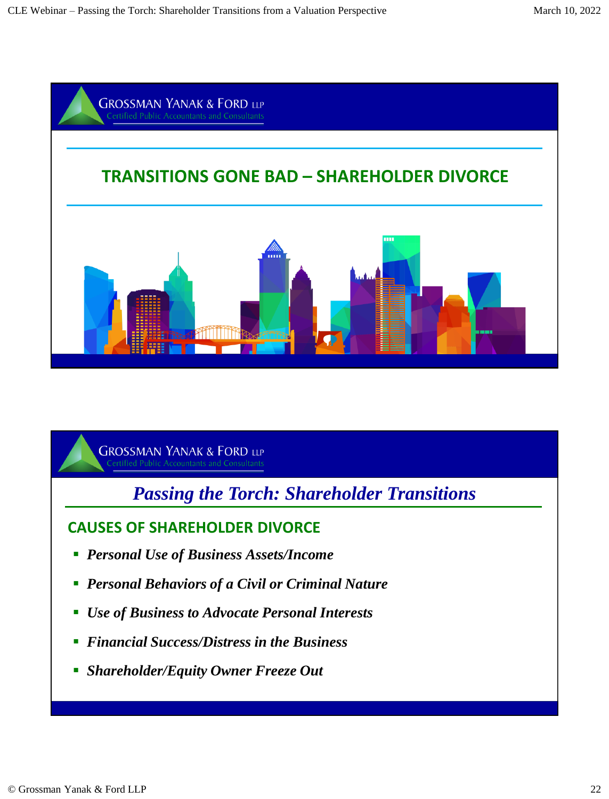

*Passing the Torch: Shareholder Transitions*

### **CAUSES OF SHAREHOLDER DIVORCE**

- *Personal Use of Business Assets/Income*
- *Personal Behaviors of a Civil or Criminal Nature*
- *Use of Business to Advocate Personal Interests*
- *Financial Success/Distress in the Business*
- *Shareholder/Equity Owner Freeze Out*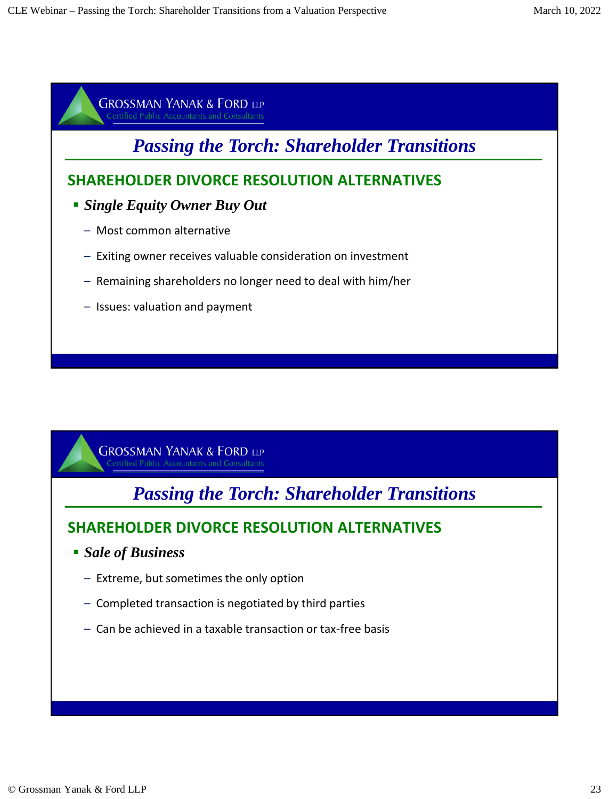

- Remaining shareholders no longer need to deal with him/her
- Issues: valuation and payment

*Passing the Torch: Shareholder Transitions*

## **SHAREHOLDER DIVORCE RESOLUTION ALTERNATIVES**

- *Sale of Business*
	- Extreme, but sometimes the only option
	- Completed transaction is negotiated by third parties
	- Can be achieved in a taxable transaction or tax-free basis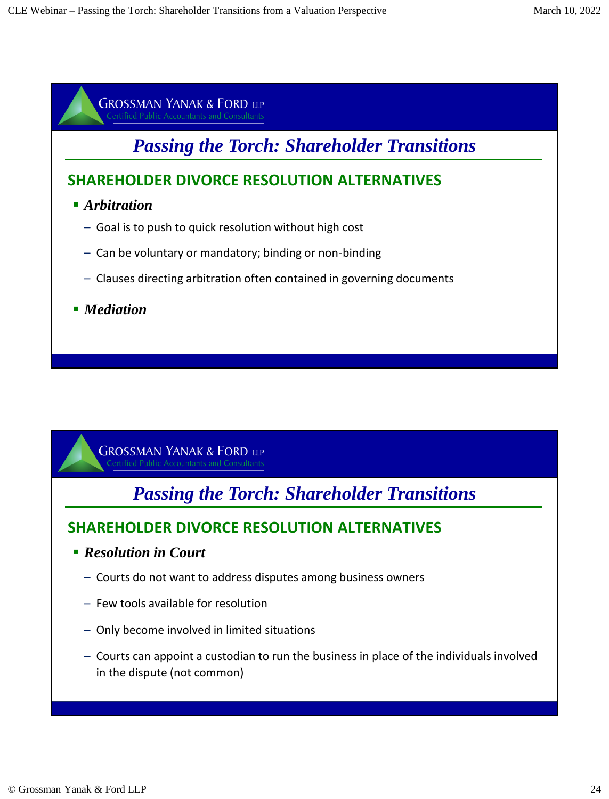

# *Passing the Torch: Shareholder Transitions*

## **SHAREHOLDER DIVORCE RESOLUTION ALTERNATIVES**

- *Arbitration*
	- Goal is to push to quick resolution without high cost
	- Can be voluntary or mandatory; binding or non-binding
	- Clauses directing arbitration often contained in governing documents
- *Mediation*

**GROSSMAN YANAK & FORD LLP** fied Public Accountants and Consultants

*Passing the Torch: Shareholder Transitions*

## **SHAREHOLDER DIVORCE RESOLUTION ALTERNATIVES**

- *Resolution in Court*
	- Courts do not want to address disputes among business owners
	- Few tools available for resolution
	- Only become involved in limited situations
	- Courts can appoint a custodian to run the business in place of the individuals involved in the dispute (not common)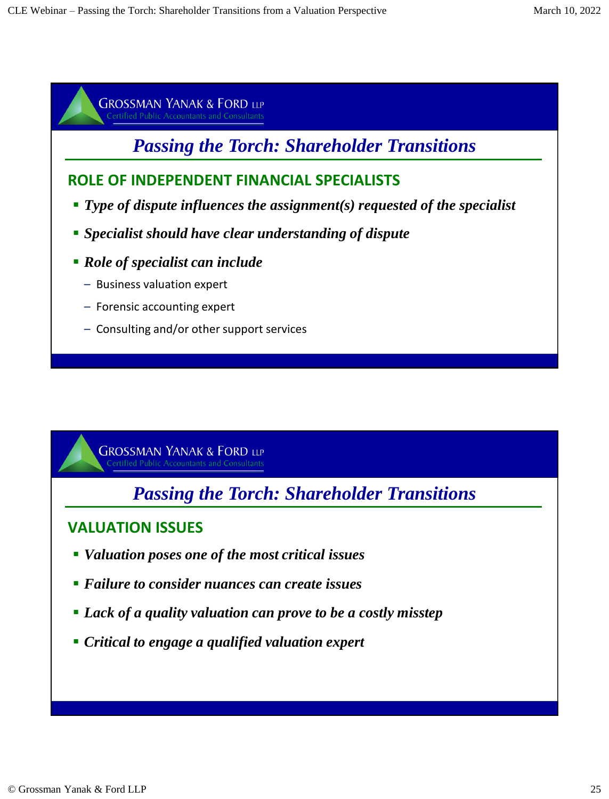# *Passing the Torch: Shareholder Transitions*

### **ROLE OF INDEPENDENT FINANCIAL SPECIALISTS**

- *Type of dispute influences the assignment(s) requested of the specialist*
- *Specialist should have clear understanding of dispute*
- *Role of specialist can include* 
	- Business valuation expert
	- Forensic accounting expert
	- Consulting and/or other support services

**GROSSMAN YANAK & FORD LLP** ed Public Accountants and Consultants

# *Passing the Torch: Shareholder Transitions*

## **VALUATION ISSUES**

- *Valuation poses one of the most critical issues*
- *Failure to consider nuances can create issues*
- *Lack of a quality valuation can prove to be a costly misstep*
- *Critical to engage a qualified valuation expert*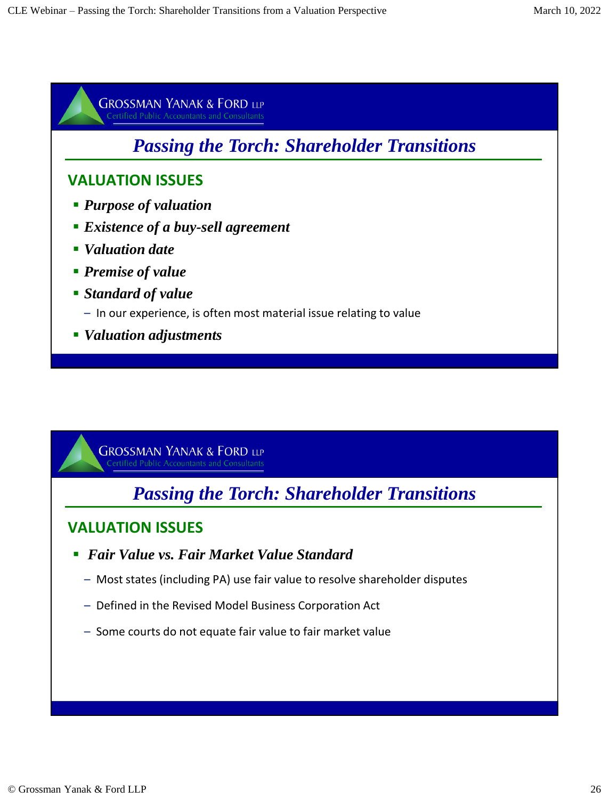

*Passing the Torch: Shareholder Transitions*

### **VALUATION ISSUES**

- *Fair Value vs. Fair Market Value Standard*
	- Most states (including PA) use fair value to resolve shareholder disputes
	- Defined in the Revised Model Business Corporation Act
	- Some courts do not equate fair value to fair market value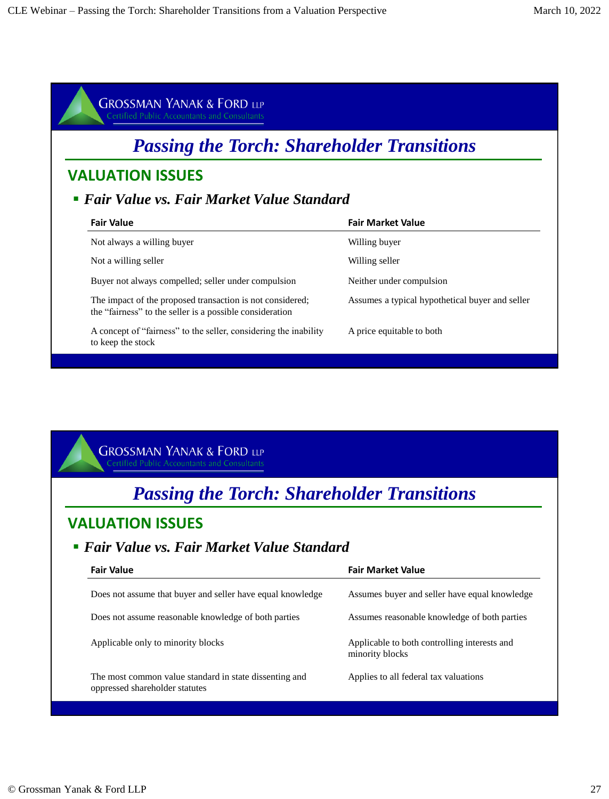| <b>GROSSMAN YANAK &amp; FORD LLP</b><br><b>Certified Public Accountants and Consultants</b>                           |                                                 |  |
|-----------------------------------------------------------------------------------------------------------------------|-------------------------------------------------|--|
| <b>Passing the Torch: Shareholder Transitions</b>                                                                     |                                                 |  |
| <b>VALUATION ISSUES</b>                                                                                               |                                                 |  |
| • Fair Value vs. Fair Market Value Standard                                                                           |                                                 |  |
| <b>Fair Value</b>                                                                                                     | <b>Fair Market Value</b>                        |  |
| Not always a willing buyer                                                                                            | Willing buyer                                   |  |
| Not a willing seller                                                                                                  | Willing seller                                  |  |
| Buyer not always compelled; seller under compulsion                                                                   | Neither under compulsion                        |  |
| The impact of the proposed transaction is not considered;<br>the "fairness" to the seller is a possible consideration | Assumes a typical hypothetical buyer and seller |  |
| A concept of "fairness" to the seller, considering the inability<br>to keep the stock                                 | A price equitable to both                       |  |

# *Passing the Torch: Shareholder Transitions*

### **VALUATION ISSUES**

### *Fair Value vs. Fair Market Value Standard*

| <b>Fair Value</b>                                                                        | <b>Fair Market Value</b>                                        |
|------------------------------------------------------------------------------------------|-----------------------------------------------------------------|
| Does not assume that buyer and seller have equal knowledge                               | Assumes buyer and seller have equal knowledge                   |
| Does not assume reasonable knowledge of both parties                                     | Assumes reasonable knowledge of both parties                    |
| Applicable only to minority blocks                                                       | Applicable to both controlling interests and<br>minority blocks |
| The most common value standard in state dissenting and<br>oppressed shareholder statutes | Applies to all federal tax valuations                           |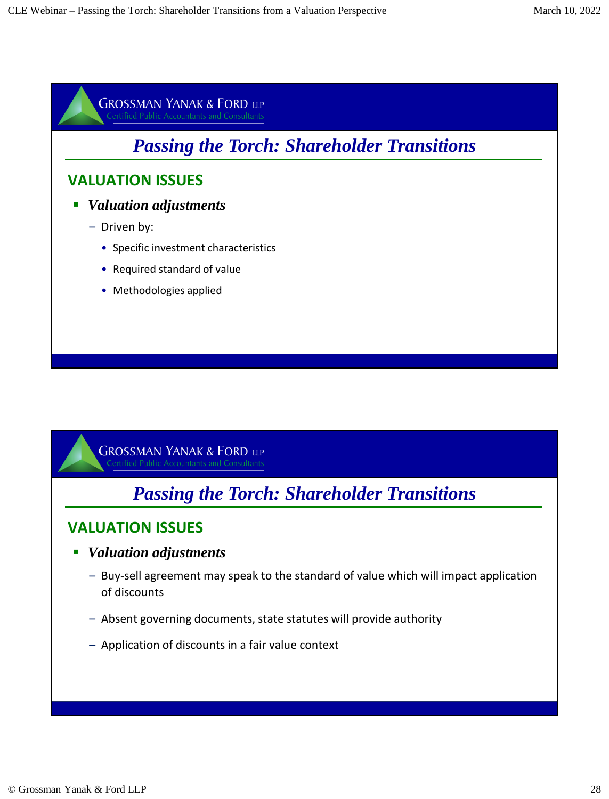# *Passing the Torch: Shareholder Transitions*

### **VALUATION ISSUES**

- *Valuation adjustments* 
	- Driven by:
		- Specific investment characteristics
		- Required standard of value
		- Methodologies applied

**GROSSMAN YANAK & FORD LLP** ified Public Accountants and Consultants

# *Passing the Torch: Shareholder Transitions*

#### **VALUATION ISSUES**

- *Valuation adjustments* 
	- Buy-sell agreement may speak to the standard of value which will impact application of discounts
	- Absent governing documents, state statutes will provide authority
	- Application of discounts in a fair value context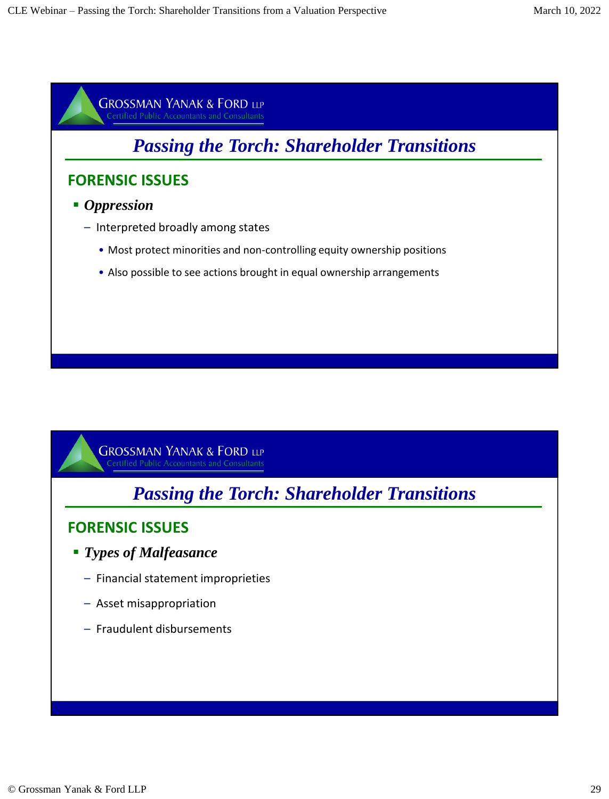

# *Passing the Torch: Shareholder Transitions*

### **FORENSIC ISSUES**

- *Types of Malfeasance*
	- Financial statement improprieties
	- Asset misappropriation
	- Fraudulent disbursements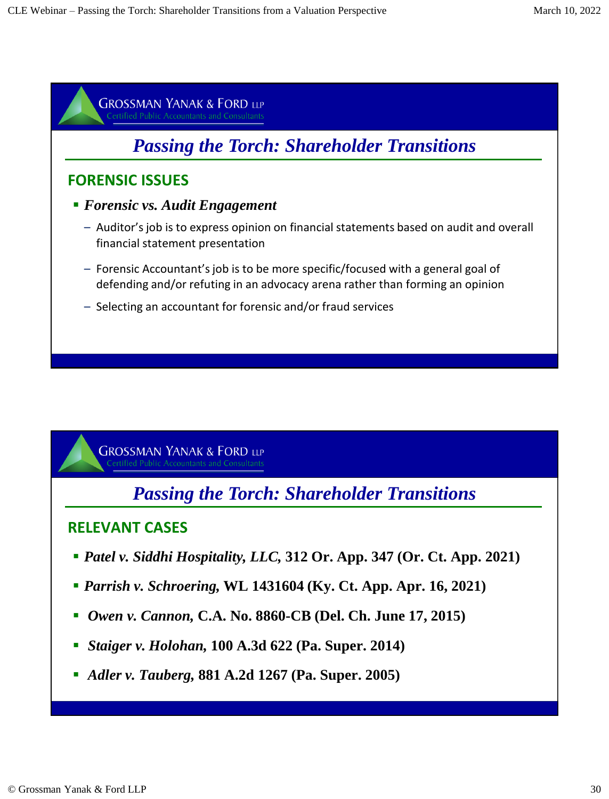![](_page_29_Figure_2.jpeg)

*Passing the Torch: Shareholder Transitions*

### **RELEVANT CASES**

- *Patel v. Siddhi Hospitality, LLC,* **312 Or. App. 347 (Or. Ct. App. 2021)**
- *Parrish v. Schroering,* **WL 1431604 (Ky. Ct. App. Apr. 16, 2021)**
- *Owen v. Cannon,* **C.A. No. 8860-CB (Del. Ch. June 17, 2015)**
- *Staiger v. Holohan,* **100 A.3d 622 (Pa. Super. 2014)**
- *Adler v. Tauberg,* **881 A.2d 1267 (Pa. Super. 2005)**